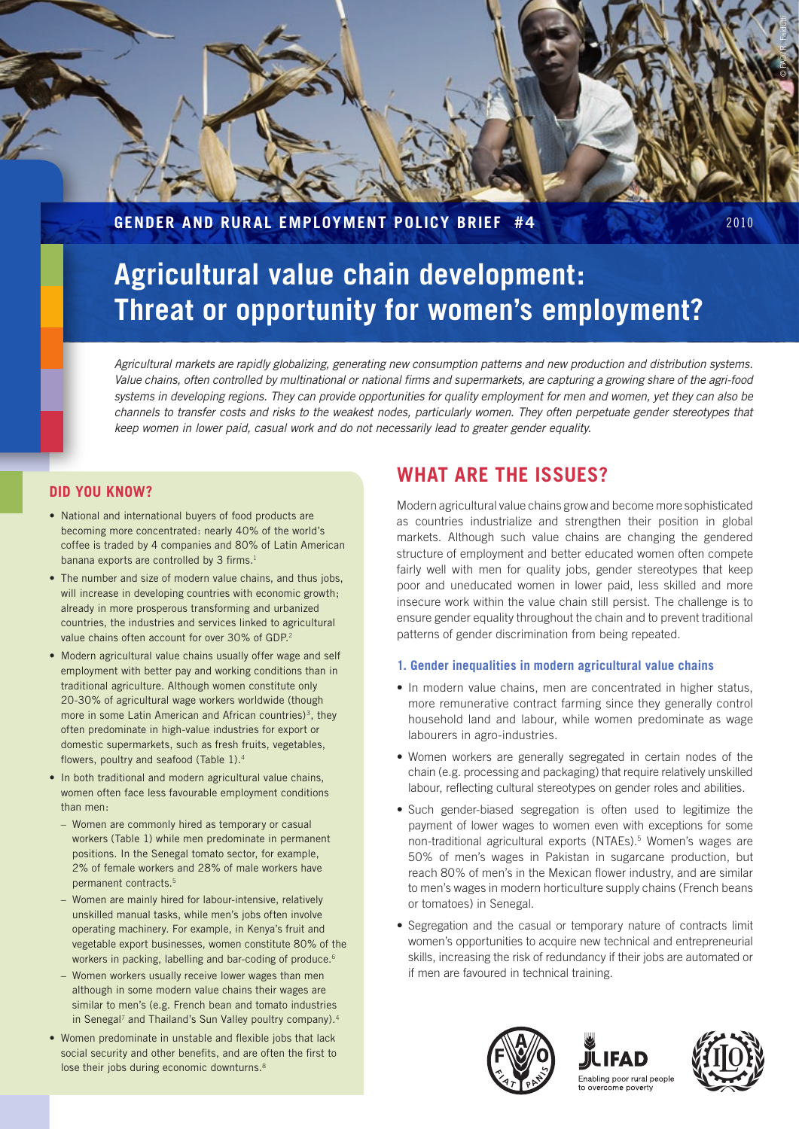

## **Gender and Rural Employment Policy Brief #4** 2010

# **Agricultural value chain development: Threat or opportunity for women's employment?**

*Agricultural markets are rapidly globalizing, generating new consumption patterns and new production and distribution systems. Value chains, often controlled by multinational or national firms and supermarkets, are capturing a growing share of the agri-food systems in developing regions. They can provide opportunities for quality employment for men and women, yet they can also be channels to transfer costs and risks to the weakest nodes, particularly women. They often perpetuate gender stereotypes that keep women in lower paid, casual work and do not necessarily lead to greater gender equality.*

### **Did you know?**

- National and international buyers of food products are becoming more concentrated: nearly 40% of the world's coffee is traded by 4 companies and 80% of Latin American banana exports are controlled by 3 firms.<sup>1</sup>
- The number and size of modern value chains, and thus jobs, will increase in developing countries with economic growth; already in more prosperous transforming and urbanized countries, the industries and services linked to agricultural value chains often account for over 30% of GDP.<sup>2</sup>
- Modern agricultural value chains usually offer wage and self employment with better pay and working conditions than in traditional agriculture. Although women constitute only 20-30% of agricultural wage workers worldwide (though more in some Latin American and African countries)<sup>3</sup>, they often predominate in high-value industries for export or domestic supermarkets, such as fresh fruits, vegetables, flowers, poultry and seafood (Table 1).<sup>4</sup>
- In both traditional and modern agricultural value chains, women often face less favourable employment conditions than men:
	- Women are commonly hired as temporary or casual workers (Table 1) while men predominate in permanent positions. In the Senegal tomato sector, for example, 2% of female workers and 28% of male workers have permanent contracts.<sup>5</sup>
	- Women are mainly hired for labour-intensive, relatively unskilled manual tasks, while men's jobs often involve operating machinery. For example, in Kenya's fruit and vegetable export businesses, women constitute 80% of the workers in packing, labelling and bar-coding of produce.<sup>6</sup>
	- Women workers usually receive lower wages than men although in some modern value chains their wages are similar to men's (e.g. French bean and tomato industries in Senegal<sup>7</sup> and Thailand's Sun Valley poultry company).<sup>4</sup>
- Women predominate in unstable and flexible jobs that lack social security and other benefits, and are often the first to lose their jobs during economic downturns.<sup>8</sup>

# **what are the issues?**

Modern agricultural value chains grow and become more sophisticated as countries industrialize and strengthen their position in global markets. Although such value chains are changing the gendered structure of employment and better educated women often compete fairly well with men for quality jobs, gender stereotypes that keep poor and uneducated women in lower paid, less skilled and more insecure work within the value chain still persist. The challenge is to ensure gender equality throughout the chain and to prevent traditional patterns of gender discrimination from being repeated.

#### **1. Gender inequalities in modern agricultural value chains**

- In modern value chains, men are concentrated in higher status, more remunerative contract farming since they generally control household land and labour, while women predominate as wage labourers in agro-industries.
- Women workers are generally segregated in certain nodes of the chain (e.g. processing and packaging) that require relatively unskilled labour, reflecting cultural stereotypes on gender roles and abilities.
- Such gender-biased segregation is often used to legitimize the payment of lower wages to women even with exceptions for some non-traditional agricultural exports (NTAEs).5 Women's wages are 50% of men's wages in Pakistan in sugarcane production, but reach 80% of men's in the Mexican flower industry, and are similar to men's wages in modern horticulture supply chains (French beans or tomatoes) in Senegal.
- Segregation and the casual or temporary nature of contracts limit women's opportunities to acquire new technical and entrepreneurial skills, increasing the risk of redundancy if their jobs are automated or if men are favoured in technical training.





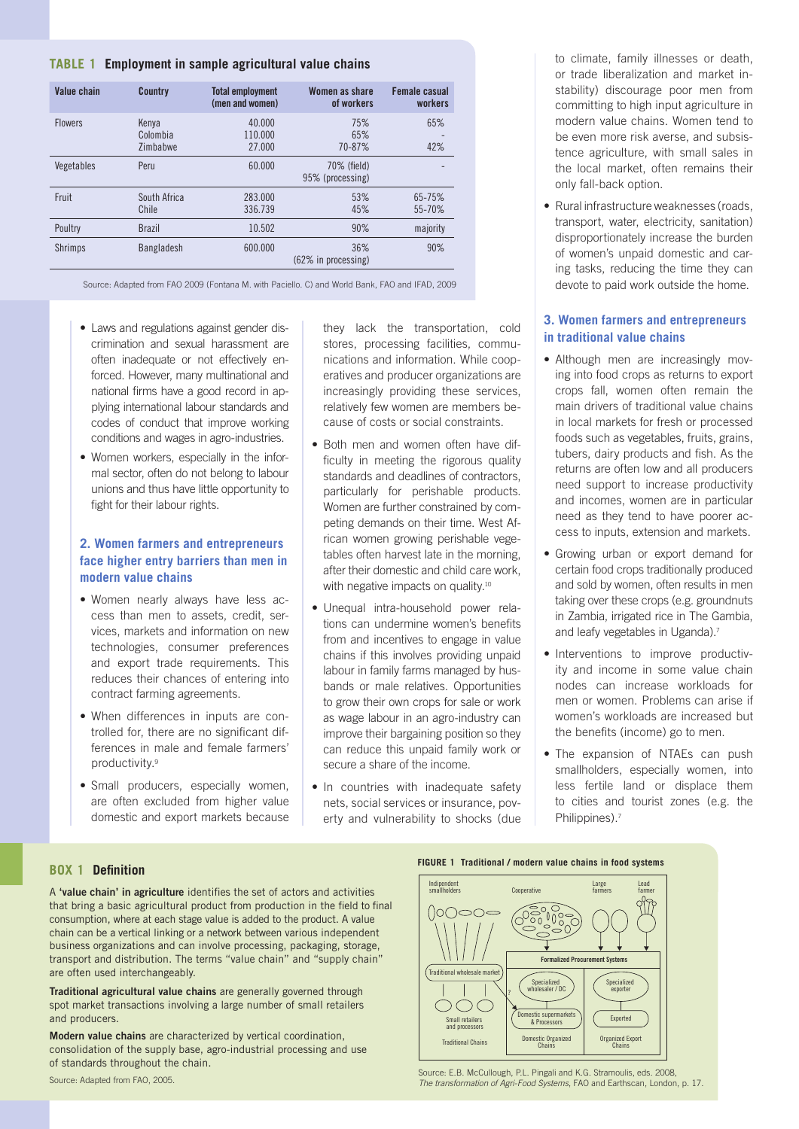#### **Table 1 Employment in sample agricultural value chains**

| Value chain    | <b>Country</b>                | <b>Total employment</b><br>(men and women) | Women as share<br>of workers    | Female casual<br>workers |
|----------------|-------------------------------|--------------------------------------------|---------------------------------|--------------------------|
| <b>Flowers</b> | Kenya<br>Colombia<br>Zimbabwe | 40.000<br>110.000<br>27,000                | 75%<br>65%<br>70-87%            | 65%<br>42%               |
| Vegetables     | Peru                          | 60.000                                     | 70% (field)<br>95% (processing) |                          |
| Fruit          | South Africa<br>Chile         | 283,000<br>336.739                         | 53%<br>45%                      | 65-75%<br>55-70%         |
| Poultry        | <b>Brazil</b>                 | 10.502                                     | 90%                             | majority                 |
| <b>Shrimps</b> | Bangladesh                    | 600.000                                    | 36%<br>$(62\%$ in processing)   | 90%                      |

Source: Adapted from FAO 2009 (Fontana M. with Paciello. C) and World Bank, FAO and IFAD, 2009

- Laws and regulations against gender discrimination and sexual harassment are often inadequate or not effectively enforced. However, many multinational and national firms have a good record in applying international labour standards and codes of conduct that improve working conditions and wages in agro-industries.
- Women workers, especially in the informal sector, often do not belong to labour unions and thus have little opportunity to fight for their labour rights.

#### **2. Women farmers and entrepreneurs face higher entry barriers than men in modern value chains**

- Women nearly always have less access than men to assets, credit, services, markets and information on new technologies, consumer preferences and export trade requirements. This reduces their chances of entering into contract farming agreements.
- When differences in inputs are controlled for, there are no significant differences in male and female farmers' productivity.9
- Small producers, especially women, are often excluded from higher value domestic and export markets because

they lack the transportation, cold stores, processing facilities, communications and information. While cooperatives and producer organizations are increasingly providing these services, relatively few women are members because of costs or social constraints.

- Both men and women often have difficulty in meeting the rigorous quality standards and deadlines of contractors, particularly for perishable products. Women are further constrained by competing demands on their time. West African women growing perishable vegetables often harvest late in the morning, after their domestic and child care work, with negative impacts on quality.<sup>10</sup>
- • Unequal intra-household power relations can undermine women's benefits from and incentives to engage in value chains if this involves providing unpaid labour in family farms managed by husbands or male relatives. Opportunities to grow their own crops for sale or work as wage labour in an agro-industry can improve their bargaining position so they can reduce this unpaid family work or secure a share of the income.
- In countries with inadequate safety nets, social services or insurance, poverty and vulnerability to shocks (due

to climate, family illnesses or death, or trade liberalization and market instability) discourage poor men from committing to high input agriculture in modern value chains. Women tend to be even more risk averse, and subsistence agriculture, with small sales in the local market, often remains their only fall-back option.

• Rural infrastructure weaknesses (roads, transport, water, electricity, sanitation) disproportionately increase the burden of women's unpaid domestic and caring tasks, reducing the time they can devote to paid work outside the home.

#### **3. Women farmers and entrepreneurs in traditional value chains**

- Although men are increasingly moving into food crops as returns to export crops fall, women often remain the main drivers of traditional value chains in local markets for fresh or processed foods such as vegetables, fruits, grains, tubers, dairy products and fish. As the returns are often low and all producers need support to increase productivity and incomes, women are in particular need as they tend to have poorer access to inputs, extension and markets.
- Growing urban or export demand for certain food crops traditionally produced and sold by women, often results in men taking over these crops (e.g. groundnuts in Zambia, irrigated rice in The Gambia, and leafy vegetables in Uganda).7
- Interventions to improve productivity and income in some value chain nodes can increase workloads for men or women. Problems can arise if women's workloads are increased but the benefits (income) go to men.
- The expansion of NTAEs can push smallholders, especially women, into less fertile land or displace them to cities and tourist zones (e.g. the Philippines).7

#### **Box 1 Definition**

A **'value chain' in agriculture** identifies the set of actors and activities that bring a basic agricultural product from production in the field to final consumption, where at each stage value is added to the product. A value chain can be a vertical linking or a network between various independent business organizations and can involve processing, packaging, storage, transport and distribution. The terms "value chain" and "supply chain" are often used interchangeably.

**Traditional agricultural value chains** are generally governed through spot market transactions involving a large number of small retailers and producers.

**Modern value chains** are characterized by vertical coordination, consolidation of the supply base, agro-industrial processing and use of standards throughout the chain.



Source: E.B. McCullough, P.L. Pingali and K.G. Stramoulis, eds. 2008, *The transformation of Agri-Food Systems*, FAO and Earthscan, London, p. 17.

Source: Adapted from FAO, 2005.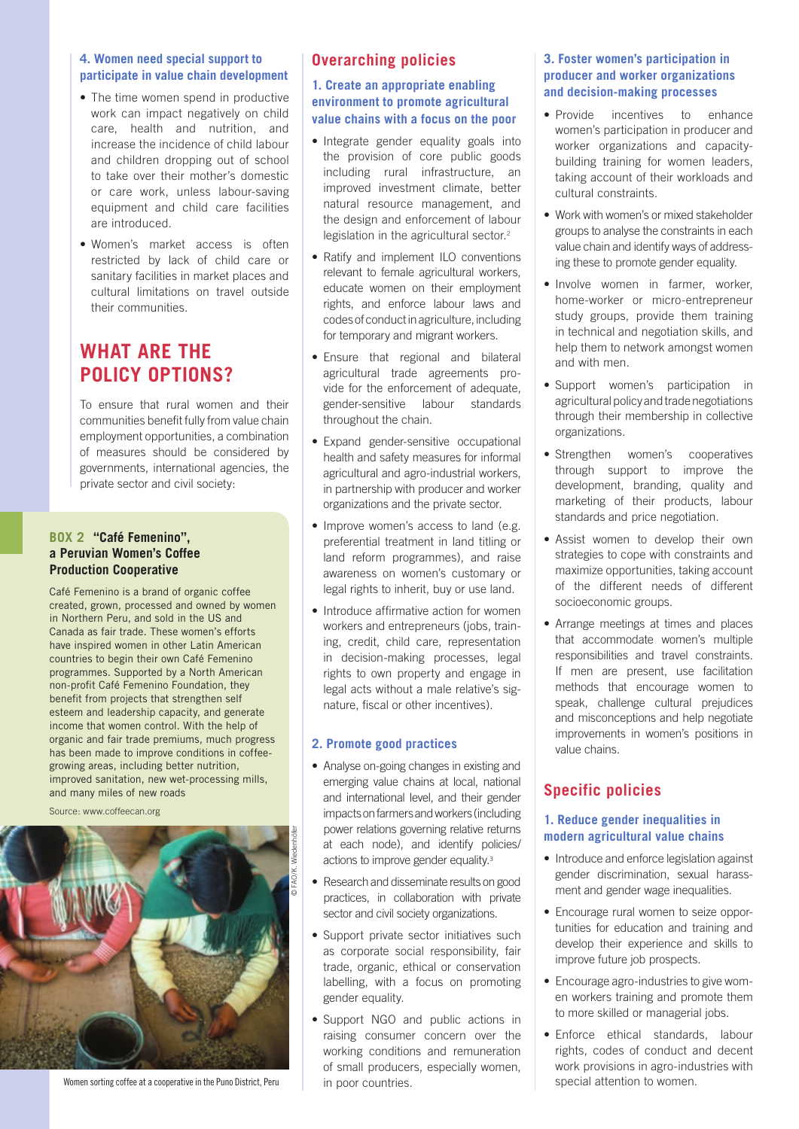#### **4. Women need special support to participate in value chain development**

- The time women spend in productive work can impact negatively on child care, health and nutrition, and increase the incidence of child labour and children dropping out of school to take over their mother's domestic or care work, unless labour-saving equipment and child care facilities are introduced.
- Women's market access is often restricted by lack of child care or sanitary facilities in market places and cultural limitations on travel outside their communities.

# **What are the policy options?**

To ensure that rural women and their communities benefit fully from value chain employment opportunities, a combination of measures should be considered by governments, international agencies, the private sector and civil society:

### **Box 2 "Café Femenino", a Peruvian Women's Coffee Production Cooperative**

Café Femenino is a brand of organic coffee created, grown, processed and owned by women in Northern Peru, and sold in the US and Canada as fair trade. These women's efforts have inspired women in other Latin American countries to begin their own Café Femenino programmes. Supported by a North American non-profit Café Femenino Foundation, they benefit from projects that strengthen self esteem and leadership capacity, and generate income that women control. With the help of organic and fair trade premiums, much progress has been made to improve conditions in coffeegrowing areas, including better nutrition, improved sanitation, new wet-processing mills, and many miles of new roads

Source: www.coffeecan.org



Women sorting coffee at a cooperative in the Puno District, Peru

### **Overarching policies**

#### **1. Create an appropriate enabling environment to promote agricultural value chains with a focus on the poor**

- Integrate gender equality goals into the provision of core public goods including rural infrastructure, an improved investment climate, better natural resource management, and the design and enforcement of labour legislation in the agricultural sector.<sup>2</sup>
- Ratify and implement ILO conventions relevant to female agricultural workers, educate women on their employment rights, and enforce labour laws and codes of conduct in agriculture, including for temporary and migrant workers.
- Ensure that regional and bilateral agricultural trade agreements provide for the enforcement of adequate, gender-sensitive labour standards throughout the chain.
- Expand gender-sensitive occupational health and safety measures for informal agricultural and agro-industrial workers, in partnership with producer and worker organizations and the private sector.
- Improve women's access to land (e.g. preferential treatment in land titling or land reform programmes), and raise awareness on women's customary or legal rights to inherit, buy or use land.
- Introduce affirmative action for women workers and entrepreneurs (jobs, training, credit, child care, representation in decision-making processes, legal rights to own property and engage in legal acts without a male relative's signature, fiscal or other incentives).

#### **2. Promote good practices**

- Analyse on-going changes in existing and emerging value chains at local, national and international level, and their gender impacts on farmers and workers (including power relations governing relative returns at each node), and identify policies/ actions to improve gender equality.<sup>3</sup>
- Research and disseminate results on good practices, in collaboration with private sector and civil society organizations.
- Support private sector initiatives such as corporate social responsibility, fair trade, organic, ethical or conservation labelling, with a focus on promoting gender equality.
- Support NGO and public actions in raising consumer concern over the working conditions and remuneration of small producers, especially women, in poor countries.

### **3. Foster women's participation in producer and worker organizations and decision-making processes**

- Provide incentives to enhance women's participation in producer and worker organizations and capacitybuilding training for women leaders, taking account of their workloads and cultural constraints.
- Work with women's or mixed stakeholder groups to analyse the constraints in each value chain and identify ways of addressing these to promote gender equality.
- Involve women in farmer, worker, home-worker or micro-entrepreneur study groups, provide them training in technical and negotiation skills, and help them to network amongst women and with men.
- Support women's participation in agricultural policy and trade negotiations through their membership in collective organizations.
- Strengthen women's cooperatives through support to improve the development, branding, quality and marketing of their products, labour standards and price negotiation.
- Assist women to develop their own strategies to cope with constraints and maximize opportunities, taking account of the different needs of different socioeconomic groups.
- Arrange meetings at times and places that accommodate women's multiple responsibilities and travel constraints. If men are present, use facilitation methods that encourage women to speak, challenge cultural prejudices and misconceptions and help negotiate improvements in women's positions in value chains.

# **Specific policies**

### **1. Reduce gender inequalities in modern agricultural value chains**

- Introduce and enforce legislation against gender discrimination, sexual harassment and gender wage inequalities.
- Encourage rural women to seize opportunities for education and training and develop their experience and skills to improve future job prospects.
- Encourage agro-industries to give women workers training and promote them to more skilled or managerial jobs.
- Enforce ethical standards, labour rights, codes of conduct and decent work provisions in agro-industries with special attention to women.